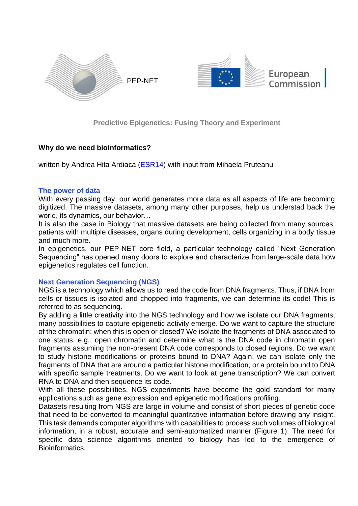

**Predictive Epigenetics: Fusing Theory and Experiment**

## **Why do we need bioinformatics?**

written by Andrea Hita Ardiaca [\(ESR14\)](https://itn-pep.net/team/#ardiaca) with input from Mihaela Pruteanu

## **The power of data**

With every passing day, our world generates more data as all aspects of life are becoming digitized. The massive datasets, among many other purposes, help us understad back the world, its dynamics, our behavior…

It is also the case in Biology that massive datasets are being collected from many sources: patients with multiple diseases, organs during development, cells organizing in a body tissue and much more.

In epigenetics, our PEP-NET core field, a particular technology called "Next Generation Sequencing" has opened many doors to explore and characterize from large-scale data how epigenetics regulates cell function.

## **Next Generation Sequencing (NGS)**

NGS is a technology which allows us to read the code from DNA fragments. Thus, if DNA from cells or tissues is isolated and chopped into fragments, we can determine its code! This is referred to as sequencing.

By adding a little creativity into the NGS technology and how we isolate our DNA fragments, many possibilities to capture epigenetic activity emerge. Do we want to capture the structure of the chromatin; when this is open or closed? We isolate the fragments of DNA associated to one status. e.g., open chromatin and determine what is the DNA code in chromatin open fragments assuming the non-present DNA code corresponds to closed regions. Do we want to study histone modifications or proteins bound to DNA? Again, we can isolate only the fragments of DNA that are around a particular histone modification, or a protein bound to DNA with specific sample treatments. Do we want to look at gene transcription? We can convert RNA to DNA and then sequence its code.

With all these possibilities, NGS experiments have become the gold standard for many applications such as gene expression and epigenetic modifications profiling.

Datasets resulting from NGS are large in volume and consist of short pieces of genetic code that need to be converted to meaningful quantitative information before drawing any insight. This task demands computer algorithms with capabilities to process such volumes of biological information, in a robust, accurate and semi-automatized manner (Figure 1). The need for specific data science algorithms oriented to biology has led to the emergence of Bioinformatics.